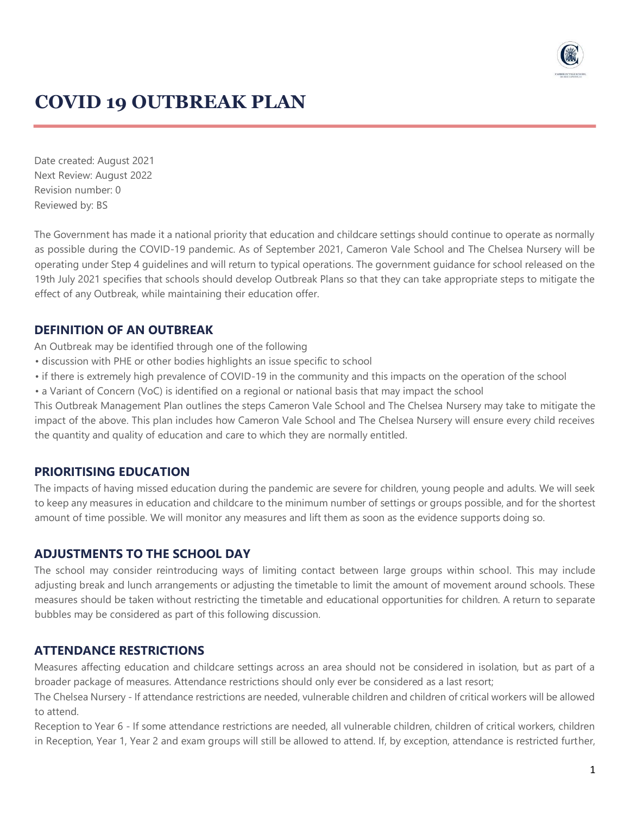

# **COVID 19 OUTBREAK PLAN**

Date created: August 2021 Next Review: August 2022 Revision number: 0 Reviewed by: BS

The Government has made it a national priority that education and childcare settings should continue to operate as normally as possible during the COVID-19 pandemic. As of September 2021, Cameron Vale School and The Chelsea Nursery will be operating under Step 4 guidelines and will return to typical operations. The government guidance for school released on the 19th July 2021 specifies that schools should develop Outbreak Plans so that they can take appropriate steps to mitigate the effect of any Outbreak, while maintaining their education offer.

### **DEFINITION OF AN OUTBREAK**

An Outbreak may be identified through one of the following

- discussion with PHE or other bodies highlights an issue specific to school
- if there is extremely high prevalence of COVID-19 in the community and this impacts on the operation of the school
- a Variant of Concern (VoC) is identified on a regional or national basis that may impact the school

This Outbreak Management Plan outlines the steps Cameron Vale School and The Chelsea Nursery may take to mitigate the impact of the above. This plan includes how Cameron Vale School and The Chelsea Nursery will ensure every child receives the quantity and quality of education and care to which they are normally entitled.

#### **PRIORITISING EDUCATION**

The impacts of having missed education during the pandemic are severe for children, young people and adults. We will seek to keep any measures in education and childcare to the minimum number of settings or groups possible, and for the shortest amount of time possible. We will monitor any measures and lift them as soon as the evidence supports doing so.

#### **ADJUSTMENTS TO THE SCHOOL DAY**

The school may consider reintroducing ways of limiting contact between large groups within school. This may include adjusting break and lunch arrangements or adjusting the timetable to limit the amount of movement around schools. These measures should be taken without restricting the timetable and educational opportunities for children. A return to separate bubbles may be considered as part of this following discussion.

### **ATTENDANCE RESTRICTIONS**

Measures affecting education and childcare settings across an area should not be considered in isolation, but as part of a broader package of measures. Attendance restrictions should only ever be considered as a last resort;

The Chelsea Nursery - If attendance restrictions are needed, vulnerable children and children of critical workers will be allowed to attend.

Reception to Year 6 - If some attendance restrictions are needed, all vulnerable children, children of critical workers, children in Reception, Year 1, Year 2 and exam groups will still be allowed to attend. If, by exception, attendance is restricted further,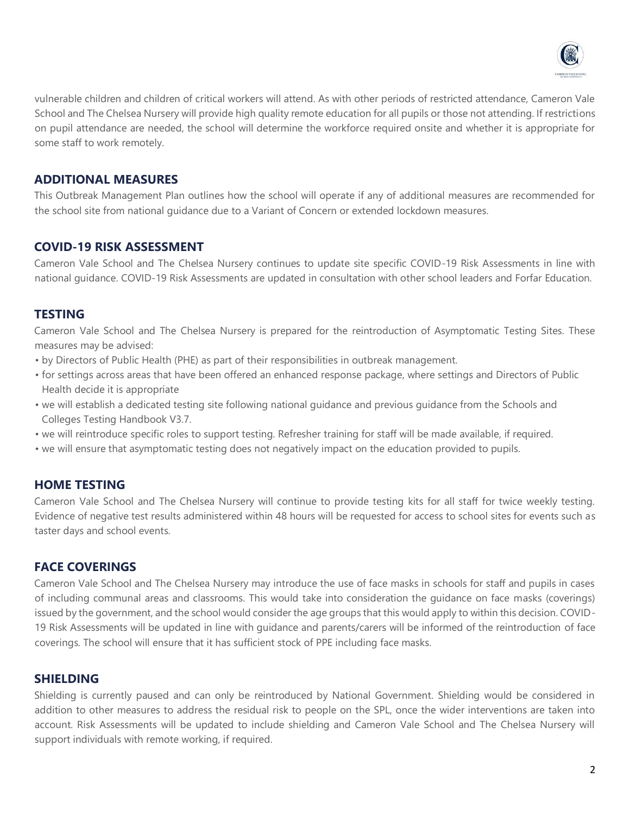

vulnerable children and children of critical workers will attend. As with other periods of restricted attendance, Cameron Vale School and The Chelsea Nursery will provide high quality remote education for all pupils or those not attending. If restrictions on pupil attendance are needed, the school will determine the workforce required onsite and whether it is appropriate for some staff to work remotely.

## **ADDITIONAL MEASURES**

This Outbreak Management Plan outlines how the school will operate if any of additional measures are recommended for the school site from national guidance due to a Variant of Concern or extended lockdown measures.

# **COVID-19 RISK ASSESSMENT**

Cameron Vale School and The Chelsea Nursery continues to update site specific COVID-19 Risk Assessments in line with national guidance. COVID-19 Risk Assessments are updated in consultation with other school leaders and Forfar Education.

#### **TESTING**

Cameron Vale School and The Chelsea Nursery is prepared for the reintroduction of Asymptomatic Testing Sites. These measures may be advised:

- by Directors of Public Health (PHE) as part of their responsibilities in outbreak management.
- for settings across areas that have been offered an enhanced response package, where settings and Directors of Public Health decide it is appropriate
- we will establish a dedicated testing site following national guidance and previous guidance from the Schools and Colleges Testing Handbook V3.7.
- we will reintroduce specific roles to support testing. Refresher training for staff will be made available, if required.
- we will ensure that asymptomatic testing does not negatively impact on the education provided to pupils.

### **HOME TESTING**

Cameron Vale School and The Chelsea Nursery will continue to provide testing kits for all staff for twice weekly testing. Evidence of negative test results administered within 48 hours will be requested for access to school sites for events such as taster days and school events.

### **FACE COVERINGS**

Cameron Vale School and The Chelsea Nursery may introduce the use of face masks in schools for staff and pupils in cases of including communal areas and classrooms. This would take into consideration the guidance on face masks (coverings) issued by the government, and the school would consider the age groups that this would apply to within this decision. COVID-19 Risk Assessments will be updated in line with guidance and parents/carers will be informed of the reintroduction of face coverings. The school will ensure that it has sufficient stock of PPE including face masks.

### **SHIELDING**

Shielding is currently paused and can only be reintroduced by National Government. Shielding would be considered in addition to other measures to address the residual risk to people on the SPL, once the wider interventions are taken into account. Risk Assessments will be updated to include shielding and Cameron Vale School and The Chelsea Nursery will support individuals with remote working, if required.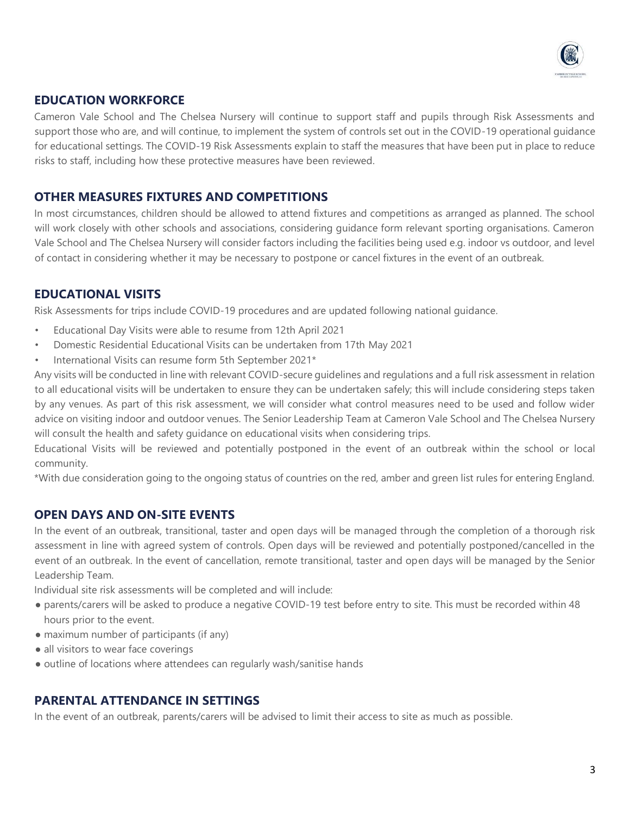

# **EDUCATION WORKFORCE**

Cameron Vale School and The Chelsea Nursery will continue to support staff and pupils through Risk Assessments and support those who are, and will continue, to implement the system of controls set out in the COVID-19 operational guidance for educational settings. The COVID-19 Risk Assessments explain to staff the measures that have been put in place to reduce risks to staff, including how these protective measures have been reviewed.

#### **OTHER MEASURES FIXTURES AND COMPETITIONS**

In most circumstances, children should be allowed to attend fixtures and competitions as arranged as planned. The school will work closely with other schools and associations, considering guidance form relevant sporting organisations. Cameron Vale School and The Chelsea Nursery will consider factors including the facilities being used e.g. indoor vs outdoor, and level of contact in considering whether it may be necessary to postpone or cancel fixtures in the event of an outbreak.

### **EDUCATIONAL VISITS**

Risk Assessments for trips include COVID-19 procedures and are updated following national guidance.

- Educational Day Visits were able to resume from 12th April 2021
- Domestic Residential Educational Visits can be undertaken from 17th May 2021
- International Visits can resume form 5th September 2021\*

Any visits will be conducted in line with relevant COVID-secure guidelines and regulations and a full risk assessment in relation to all educational visits will be undertaken to ensure they can be undertaken safely; this will include considering steps taken by any venues. As part of this risk assessment, we will consider what control measures need to be used and follow wider advice on visiting indoor and outdoor venues. The Senior Leadership Team at Cameron Vale School and The Chelsea Nursery will consult the health and safety guidance on educational visits when considering trips.

Educational Visits will be reviewed and potentially postponed in the event of an outbreak within the school or local community.

\*With due consideration going to the ongoing status of countries on the red, amber and green list rules for entering England.

### **OPEN DAYS AND ON-SITE EVENTS**

In the event of an outbreak, transitional, taster and open days will be managed through the completion of a thorough risk assessment in line with agreed system of controls. Open days will be reviewed and potentially postponed/cancelled in the event of an outbreak. In the event of cancellation, remote transitional, taster and open days will be managed by the Senior Leadership Team.

Individual site risk assessments will be completed and will include:

- parents/carers will be asked to produce a negative COVID-19 test before entry to site. This must be recorded within 48 hours prior to the event.
- maximum number of participants (if any)
- all visitors to wear face coverings
- outline of locations where attendees can regularly wash/sanitise hands

### **PARENTAL ATTENDANCE IN SETTINGS**

In the event of an outbreak, parents/carers will be advised to limit their access to site as much as possible.